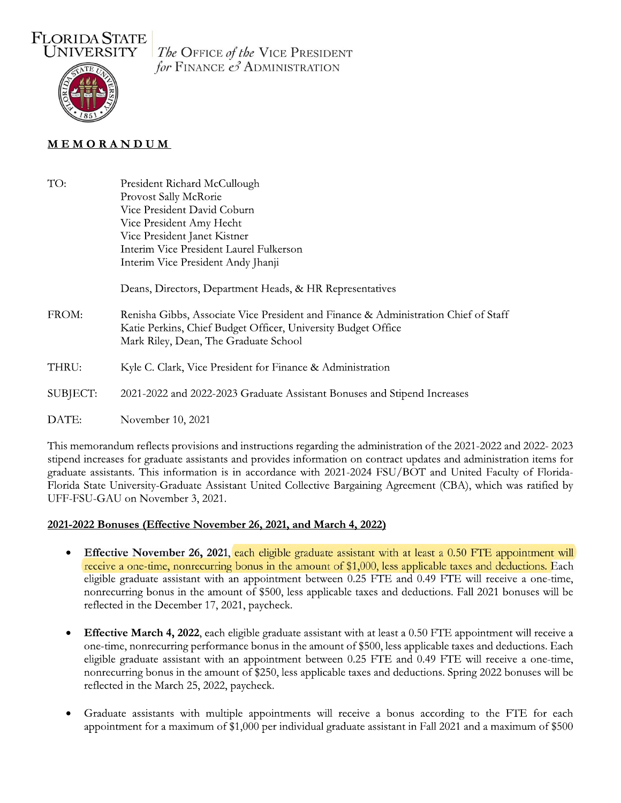

The OFFICE of the VICE PRESIDENT for FINANCE  $\mathcal{O}$  ADMINISTRATION

## MEMORANDUM

TO: President Richard McCullough Provost Sally McRorie Vice President David Coburn Vice President Amy Hecht Vice President Janet Kistner Interim Vice President Laurel Fulkerson Interim Vice President Andy Jhanji Deans, Directors, Department Heads, & HR Representatives FROM: Renisha Gibbs, Associate Vice President and Finance & Administration Chief of Staff Katie Perkins, Chief Budget Officer, University Budget Office Mark Riley, Dean, The Graduate School THRU: Kyle C. Clark, Vice President for Finance & Administration SUBJECT: 2021-2022 and 2022-2023 Graduate Assistant Bonuses and Stipend Increases DATE: November 10, 2021

This memorandum reflects provisions and instructions regarding the administration of the 2021-2022 and 2022-2023 stipend increases for graduate assistants and provides information on contract updates and administration items for graduate assistants. This information is in accordance with 2021-2024 FSU/BOT and United Faculty of Florida-Florida State University-Graduate Assistant United Collective Bargaining Agreement (CBA), which was ratified by UFF-FSU-GAU on November 3, 2021.

#### 2021-2022 Bonuses (Effective November 26, 2021, and March 4, 2022)

- Effective November 26, 2021, each eligible graduate assistant with at least a 0.50 FTE appointment will  $\bullet$ receive a one-time, nonrecurring bonus in the amount of \$1,000, less applicable taxes and deductions. Each eligible graduate assistant with an appointment between 0.25 FTE and 0.49 FTE will receive a one-time, nonrecurring bonus in the amount of \$500, less applicable taxes and deductions. Fall 2021 bonuses will be reflected in the December 17, 2021, paycheck.
- **Effective March 4, 2022**, each eligible graduate assistant with at least a 0.50 FTE appointment will receive a  $\bullet$ one-time, nonrecurring performance bonus in the amount of \$500, less applicable taxes and deductions. Each eligible graduate assistant with an appointment between 0.25 FTE and 0.49 FTE will receive a one-time, nonrecurring bonus in the amount of \$250, less applicable taxes and deductions. Spring 2022 bonuses will be reflected in the March 25, 2022, paycheck.
- Graduate assistants with multiple appointments will receive a bonus according to the FTE for each appointment for a maximum of \$1,000 per individual graduate assistant in Fall 2021 and a maximum of \$500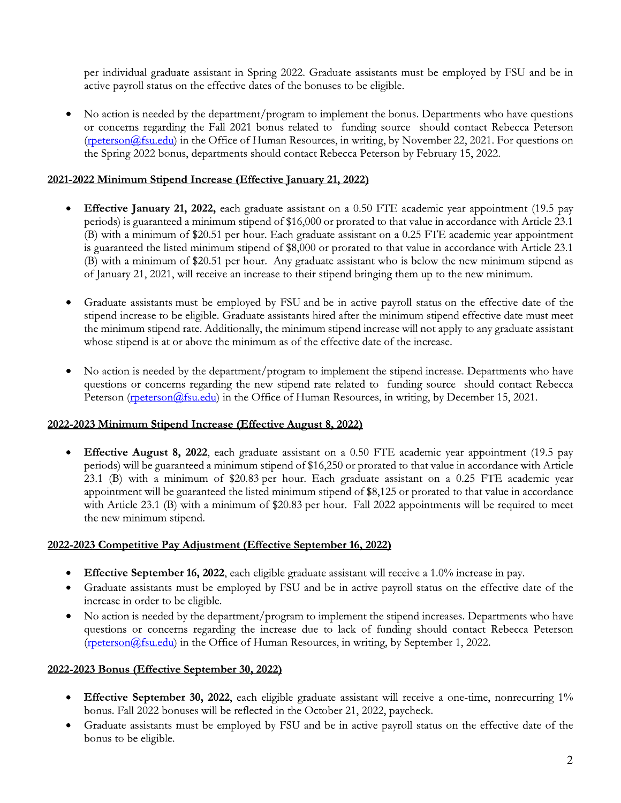per individual graduate assistant in Spring 2022. Graduate assistants must be employed by FSU and be in active payroll status on the effective dates of the bonuses to be eligible.

No action is needed by the department/program to implement the bonus. Departments who have questions or concerns regarding the Fall 2021 bonus related to funding source should contact Rebecca Peterson  $(r_{\text{peterson}}(a_{\text{fsu.edu}}))$  in the Office of Human Resources, in writing, by November 22, 2021. For questions on the Spring 2022 bonus, departments should contact Rebecca Peterson by February 15, 2022.

## 2021-2022 Minimum Stipend Increase (Effective January 21, 2022)

- $\bullet$ **Effective January 21, 2022,** each graduate assistant on a 0.50 FTE academic year appointment (19.5 pay periods) is guaranteed a minimum stipend of \$16,000 or prorated to that value in accordance with Article 23.1 (B) with a minimum of \$20.51 per hour. Each graduate assistant on a 0.25 FTE academic year appointment is guaranteed the listed minimum stipend of \$8,000 or prorated to that value in accordance with Article 23.1 (B) with a minimum of \$20.51 per hour. Any graduate assistant who is below the new minimum stipend as of January 21, 2021, will receive an increase to their stipend bringing them up to the new minimum.
- Graduate assistants must be employed by FSU and be in active payroll status on the effective date of the stipend increase to be eligible. Graduate assistants hired after the minimum stipend effective date must meet the minimum stipend rate. Additionally, the minimum stipend increase will not apply to any graduate assistant whose stipend is at or above the minimum as of the effective date of the increase.
- No action is needed by the department/program to implement the stipend increase. Departments who have  $\bullet$ questions or concerns regarding the new stipend rate related to funding source should contact Rebecca Peterson (rpeterson (a) fsu.edu) in the Office of Human Resources, in writing, by December 15, 2021.

## 2022-2023 Minimum Stipend Increase (Effective August 8, 2022)

Effective August 8, 2022, each graduate assistant on a 0.50 FTE academic year appointment (19.5 pay periods) will be guaranteed a minimum stipend of \$16,250 or prorated to that value in accordance with Article 23.1 (B) with a minimum of \$20.83 per hour. Each graduate assistant on a 0.25 FTE academic year appointment will be guaranteed the listed minimum stipend of \$8,125 or prorated to that value in accordance with Article 23.1 (B) with a minimum of \$20.83 per hour. Fall 2022 appointments will be required to meet the new minimum stipend.

#### 2022-2023 Competitive Pay Adjustment (Effective September 16, 2022)

- **Effective September 16, 2022**, each eligible graduate assistant will receive a 1.0% increase in pay.
- Graduate assistants must be employed by FSU and be in active payroll status on the effective date of the increase in order to be eligible.
- No action is needed by the department/program to implement the stipend increases. Departments who have  $\bullet$ questions or concerns regarding the increase due to lack of funding should contact Rebecca Peterson  $(rpeterson@fsu.edu)$  in the Office of Human Resources, in writing, by September 1, 2022.

## 2022-2023 Bonus (Effective September 30, 2022)

- Effective September 30, 2022, each eligible graduate assistant will receive a one-time, nonrecurring 1%  $\bullet$ bonus. Fall 2022 bonuses will be reflected in the October 21, 2022, paycheck.
- Graduate assistants must be employed by FSU and be in active payroll status on the effective date of the bonus to be eligible.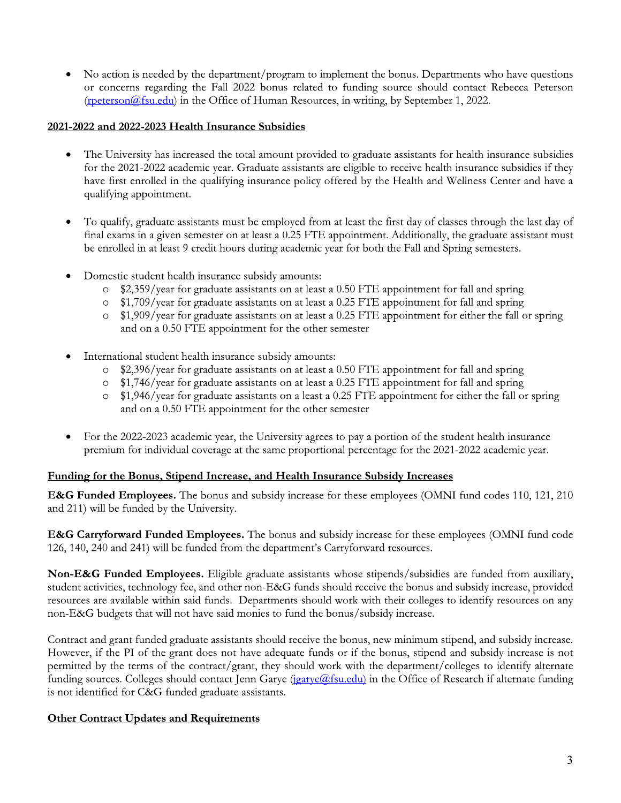No action is needed by the department/program to implement the bonus. Departments who have questions or concerns regarding the Fall 2022 bonus related to funding source should contact Rebecca Peterson (rpeterson@fsu.edu) in the Office of Human Resources, in writing, by September 1, 2022.

### 2021-2022 and 2022-2023 Health Insurance Subsidies

- The University has increased the total amount provided to graduate assistants for health insurance subsidies  $\bullet$ for the 2021-2022 academic year. Graduate assistants are eligible to receive health insurance subsidies if they have first enrolled in the qualifying insurance policy offered by the Health and Wellness Center and have a qualifying appointment.
- To qualify, graduate assistants must be employed from at least the first day of classes through the last day of final exams in a given semester on at least a 0.25 FTE appointment. Additionally, the graduate assistant must be enrolled in at least 9 credit hours during academic year for both the Fall and Spring semesters.
- Domestic student health insurance subsidy amounts:
	- \$2,359/year for graduate assistants on at least a 0.50 FTE appointment for fall and spring  $\circ$
	- \$1,709/year for graduate assistants on at least a 0.25 FTE appointment for fall and spring  $\circ$
	- \$1,909/year for graduate assistants on at least a 0.25 FTE appointment for either the fall or spring and on a 0.50 FTE appointment for the other semester
- International student health insurance subsidy amounts:
	- \$2,396/year for graduate assistants on at least a 0.50 FTE appointment for fall and spring  $\circ$
	- \$1,746/year for graduate assistants on at least a 0.25 FTE appointment for fall and spring
	- \$1,946/year for graduate assistants on a least a 0.25 FTE appointment for either the fall or spring  $\circ$ and on a 0.50 FTE appointment for the other semester
- For the 2022-2023 academic year, the University agrees to pay a portion of the student health insurance premium for individual coverage at the same proportional percentage for the 2021-2022 academic year.

## Funding for the Bonus, Stipend Increase, and Health Insurance Subsidy Increases

**E&G Funded Employees.** The bonus and subsidy increase for these employees (OMNI fund codes 110, 121, 210) and 211) will be funded by the University.

**E&G Carryforward Funded Employees.** The bonus and subsidy increase for these employees (OMNI fund code 126, 140, 240 and 241) will be funded from the department's Carryforward resources.

Non-E&G Funded Employees. Eligible graduate assistants whose stipends/subsidies are funded from auxiliary, student activities, technology fee, and other non-E&G funds should receive the bonus and subsidy increase, provided resources are available within said funds. Departments should work with their colleges to identify resources on any non-E&G budgets that will not have said monies to fund the bonus/subsidy increase.

Contract and grant funded graduate assistants should receive the bonus, new minimum stipend, and subsidy increase. However, if the PI of the grant does not have adequate funds or if the bonus, stipend and subsidy increase is not permitted by the terms of the contract/grant, they should work with the department/colleges to identify alternate funding sources. Colleges should contact Jenn Garye (jearye@fsu.edu) in the Office of Research if alternate funding is not identified for C&G funded graduate assistants.

# **Other Contract Updates and Requirements**